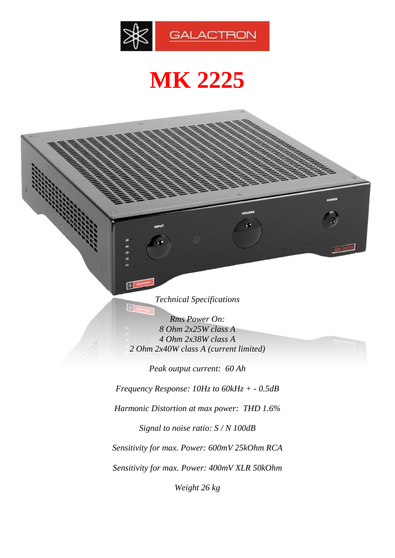

## **MK 2225**

*Technical Specifications*

图

 $\mathbb R$ 

*Rms Power On: 8 Ohm 2x25W class A 4 Ohm 2x38W class A 2 Ohm 2x40W class A (current limited)*

*Peak output current: 60 Ah Frequency Response: 10Hz to 60kHz + - 0.5dB Harmonic Distortion at max power: THD 1.6% Signal to noise ratio: S / N 100dB Sensitivity for max. Power: 600mV 25kOhm RCA Sensitivity for max. Power: 400mV XLR 50kOhm*

*Weight 26 kg*